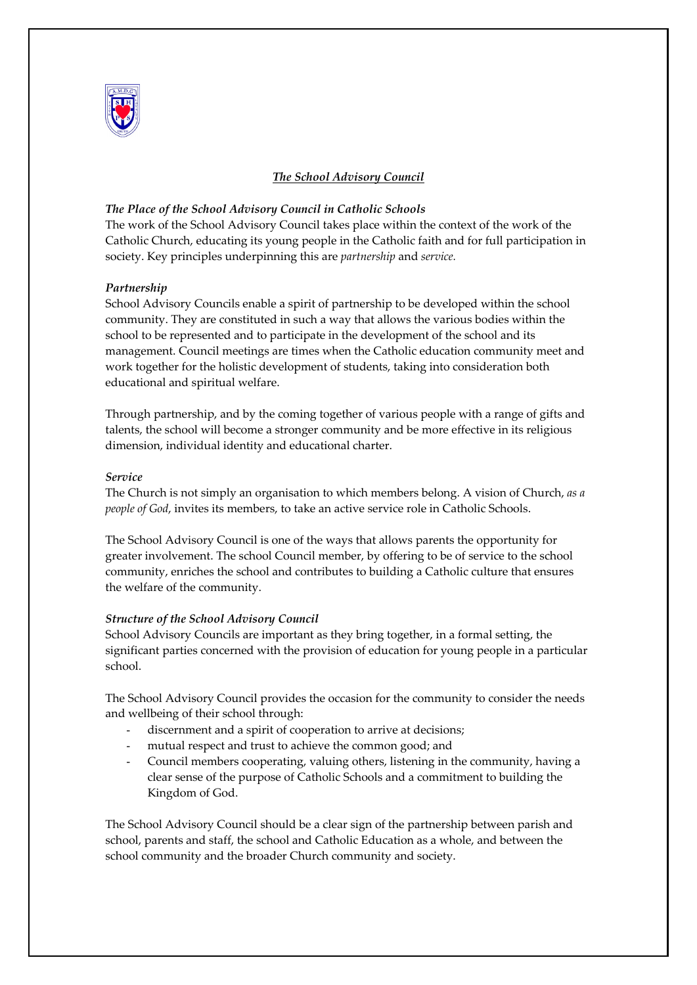

# *The School Advisory Council*

# *The Place of the School Advisory Council in Catholic Schools*

The work of the School Advisory Council takes place within the context of the work of the Catholic Church, educating its young people in the Catholic faith and for full participation in society. Key principles underpinning this are *partnership* and *service.*

## *Partnership*

School Advisory Councils enable a spirit of partnership to be developed within the school community. They are constituted in such a way that allows the various bodies within the school to be represented and to participate in the development of the school and its management. Council meetings are times when the Catholic education community meet and work together for the holistic development of students, taking into consideration both educational and spiritual welfare.

Through partnership, and by the coming together of various people with a range of gifts and talents, the school will become a stronger community and be more effective in its religious dimension, individual identity and educational charter.

### *Service*

The Church is not simply an organisation to which members belong. A vision of Church, *as a people of God*, invites its members, to take an active service role in Catholic Schools.

The School Advisory Council is one of the ways that allows parents the opportunity for greater involvement. The school Council member, by offering to be of service to the school community, enriches the school and contributes to building a Catholic culture that ensures the welfare of the community.

## *Structure of the School Advisory Council*

School Advisory Councils are important as they bring together, in a formal setting, the significant parties concerned with the provision of education for young people in a particular school.

The School Advisory Council provides the occasion for the community to consider the needs and wellbeing of their school through:

- discernment and a spirit of cooperation to arrive at decisions;
- mutual respect and trust to achieve the common good; and
- Council members cooperating, valuing others, listening in the community, having a clear sense of the purpose of Catholic Schools and a commitment to building the Kingdom of God.

The School Advisory Council should be a clear sign of the partnership between parish and school, parents and staff, the school and Catholic Education as a whole, and between the school community and the broader Church community and society.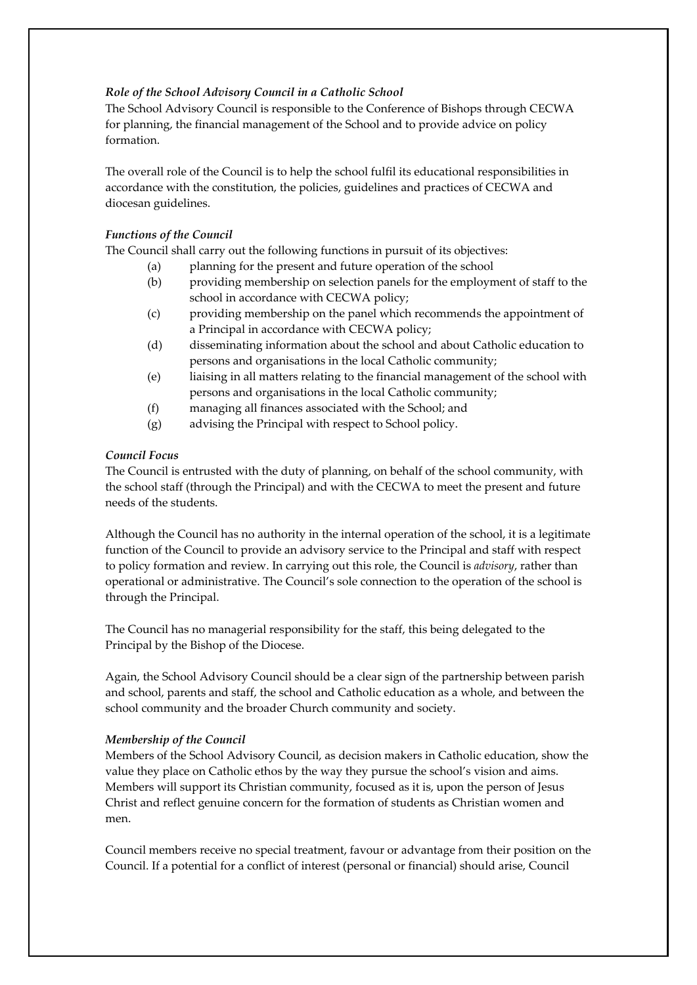# *Role of the School Advisory Council in a Catholic School*

The School Advisory Council is responsible to the Conference of Bishops through CECWA for planning, the financial management of the School and to provide advice on policy formation.

The overall role of the Council is to help the school fulfil its educational responsibilities in accordance with the constitution, the policies, guidelines and practices of CECWA and diocesan guidelines.

# *Functions of the Council*

The Council shall carry out the following functions in pursuit of its objectives:

- (a) planning for the present and future operation of the school
- (b) providing membership on selection panels for the employment of staff to the school in accordance with CECWA policy;
- (c) providing membership on the panel which recommends the appointment of a Principal in accordance with CECWA policy;
- (d) disseminating information about the school and about Catholic education to persons and organisations in the local Catholic community;
- (e) liaising in all matters relating to the financial management of the school with persons and organisations in the local Catholic community;
- (f) managing all finances associated with the School; and
- (g) advising the Principal with respect to School policy.

## *Council Focus*

The Council is entrusted with the duty of planning, on behalf of the school community, with the school staff (through the Principal) and with the CECWA to meet the present and future needs of the students.

Although the Council has no authority in the internal operation of the school, it is a legitimate function of the Council to provide an advisory service to the Principal and staff with respect to policy formation and review. In carrying out this role, the Council is *advisory*, rather than operational or administrative. The Council's sole connection to the operation of the school is through the Principal.

The Council has no managerial responsibility for the staff, this being delegated to the Principal by the Bishop of the Diocese.

Again, the School Advisory Council should be a clear sign of the partnership between parish and school, parents and staff, the school and Catholic education as a whole, and between the school community and the broader Church community and society.

## *Membership of the Council*

Members of the School Advisory Council, as decision makers in Catholic education, show the value they place on Catholic ethos by the way they pursue the school's vision and aims. Members will support its Christian community, focused as it is, upon the person of Jesus Christ and reflect genuine concern for the formation of students as Christian women and men.

Council members receive no special treatment, favour or advantage from their position on the Council. If a potential for a conflict of interest (personal or financial) should arise, Council